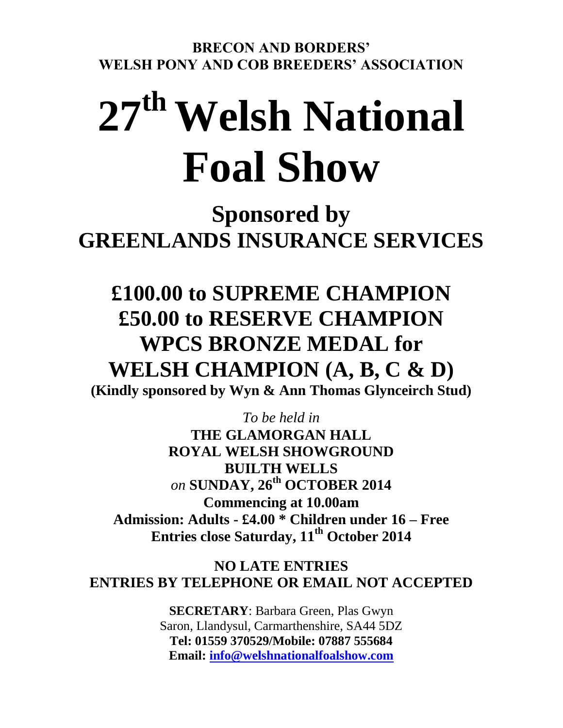**BRECON AND BORDERS' WELSH PONY AND COB BREEDERS' ASSOCIATION**

# **27 th Welsh National Foal Show**

**Sponsored by GREENLANDS INSURANCE SERVICES**

# **£100.00 to SUPREME CHAMPION £50.00 to RESERVE CHAMPION WPCS BRONZE MEDAL for WELSH CHAMPION (A, B, C & D)**

**(Kindly sponsored by Wyn & Ann Thomas Glynceirch Stud)**

*To be held in*  **THE GLAMORGAN HALL ROYAL WELSH SHOWGROUND BUILTH WELLS** *on* **SUNDAY, 26 th OCTOBER 2014 Commencing at 10.00am Admission: Adults - £4.00 \* Children under 16 – Free Entries close Saturday, 11th October 2014**

**NO LATE ENTRIES ENTRIES BY TELEPHONE OR EMAIL NOT ACCEPTED**

> **SECRETARY**: Barbara Green, Plas Gwyn Saron, Llandysul, Carmarthenshire, SA44 5DZ **Tel: 01559 370529/Mobile: 07887 555684 Email: [info@welshnationalfoalshow.com](mailto:info@welshnationalfoalshow.com)**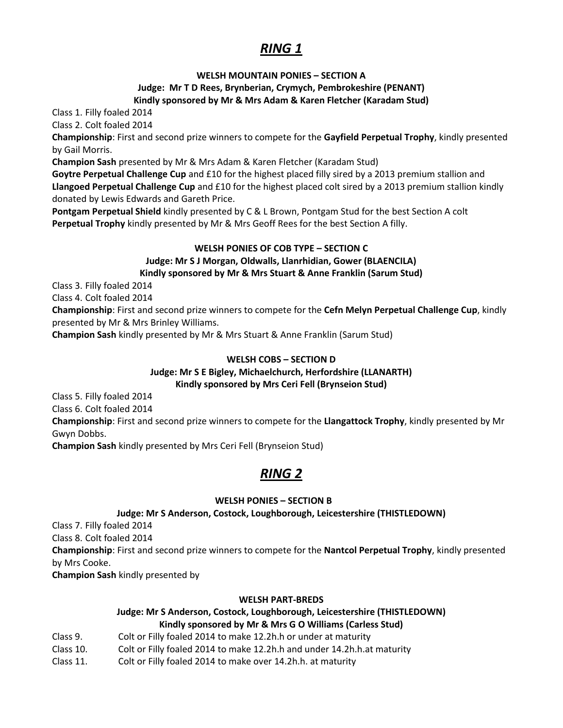# *RING 1*

#### **WELSH MOUNTAIN PONIES – SECTION A**

#### **Judge: Mr T D Rees, Brynberian, Crymych, Pembrokeshire (PENANT) Kindly sponsored by Mr & Mrs Adam & Karen Fletcher (Karadam Stud)**

Class 1. Filly foaled 2014

Class 2. Colt foaled 2014

**Championship**: First and second prize winners to compete for the **Gayfield Perpetual Trophy**, kindly presented by Gail Morris.

**Champion Sash** presented by Mr & Mrs Adam & Karen Fletcher (Karadam Stud)

**Goytre Perpetual Challenge Cup** and £10 for the highest placed filly sired by a 2013 premium stallion and **Llangoed Perpetual Challenge Cup** and £10 for the highest placed colt sired by a 2013 premium stallion kindly donated by Lewis Edwards and Gareth Price.

**Pontgam Perpetual Shield** kindly presented by C & L Brown, Pontgam Stud for the best Section A colt **Perpetual Trophy** kindly presented by Mr & Mrs Geoff Rees for the best Section A filly.

#### **WELSH PONIES OF COB TYPE – SECTION C**

### **Judge: Mr S J Morgan, Oldwalls, Llanrhidian, Gower (BLAENCILA)**

#### **Kindly sponsored by Mr & Mrs Stuart & Anne Franklin (Sarum Stud)**

Class 3. Filly foaled 2014

Class 4. Colt foaled 2014

**Championship**: First and second prize winners to compete for the **Cefn Melyn Perpetual Challenge Cup**, kindly presented by Mr & Mrs Brinley Williams.

**Champion Sash** kindly presented by Mr & Mrs Stuart & Anne Franklin (Sarum Stud)

#### **WELSH COBS – SECTION D**

#### **Judge: Mr S E Bigley, Michaelchurch, Herfordshire (LLANARTH) Kindly sponsored by Mrs Ceri Fell (Brynseion Stud)**

Class 5. Filly foaled 2014

Class 6. Colt foaled 2014

**Championship**: First and second prize winners to compete for the **Llangattock Trophy**, kindly presented by Mr Gwyn Dobbs.

**Champion Sash** kindly presented by Mrs Ceri Fell (Brynseion Stud)

# *RING 2*

#### **WELSH PONIES – SECTION B**

#### **Judge: Mr S Anderson, Costock, Loughborough, Leicestershire (THISTLEDOWN)**

Class 7. Filly foaled 2014

Class 8. Colt foaled 2014

**Championship**: First and second prize winners to compete for the **Nantcol Perpetual Trophy**, kindly presented by Mrs Cooke.

**Champion Sash** kindly presented by

#### **WELSH PART-BREDS**

#### **Judge: Mr S Anderson, Costock, Loughborough, Leicestershire (THISTLEDOWN) Kindly sponsored by Mr & Mrs G O Williams (Carless Stud)**

- Class 9. Colt or Filly foaled 2014 to make 12.2h.h or under at maturity
- Class 10. Colt or Filly foaled 2014 to make 12.2h.h and under 14.2h.h.at maturity
- Class 11. Colt or Filly foaled 2014 to make over 14.2h.h. at maturity